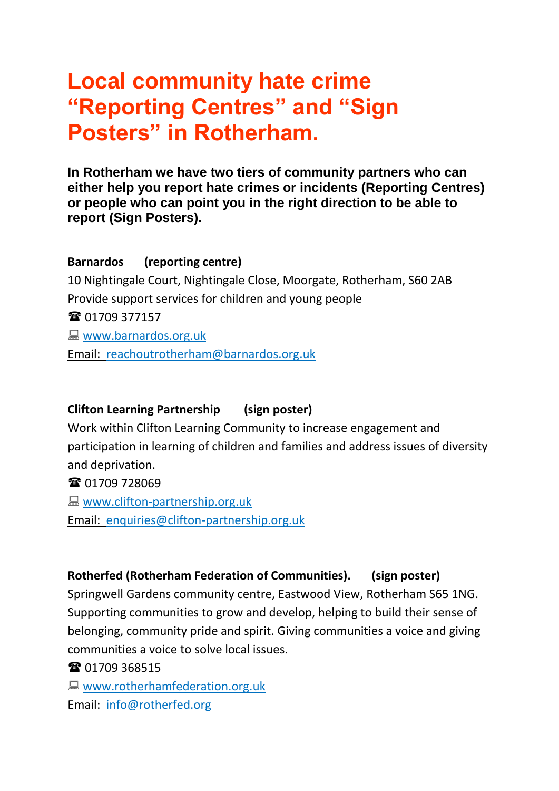# **Local community hate crime "Reporting Centres" and "Sign Posters" in Rotherham.**

**In Rotherham we have two tiers of community partners who can either help you report hate crimes or incidents (Reporting Centres) or people who can point you in the right direction to be able to report (Sign Posters).**

## **Barnardos (reporting centre)**

10 Nightingale Court, Nightingale Close, Moorgate, Rotherham, S60 2AB Provide support services for children and young people **雷 01709 377157 Www.barnardos.org.uk** Email: [reachoutrotherham@barnardos.org.uk](mailto:reachoutrotherham@barnardos.org.uk)

## **Clifton Learning Partnership (sign poster)**

Work within Clifton Learning Community to increase engagement and participation in learning of children and families and address issues of diversity and deprivation.

**雷 01709 728069** 

**WWW.clifton-partnership.org.uk** Email: [enquiries@clifton-partnership.org.uk](mailto:enquiries@clifton-partnership.org.uk)

## **Rotherfed (Rotherham Federation of Communities). (sign poster)**

Springwell Gardens community centre, Eastwood View, Rotherham S65 1NG. Supporting communities to grow and develop, helping to build their sense of belonging, community pride and spirit. Giving communities a voice and giving communities a voice to solve local issues.

<sup>3</sup> $\bullet$  01709 368515

**WWW.rotherhamfederation.org.uk** Email: [info@rotherfed.org](mailto:info@rotherfed.org)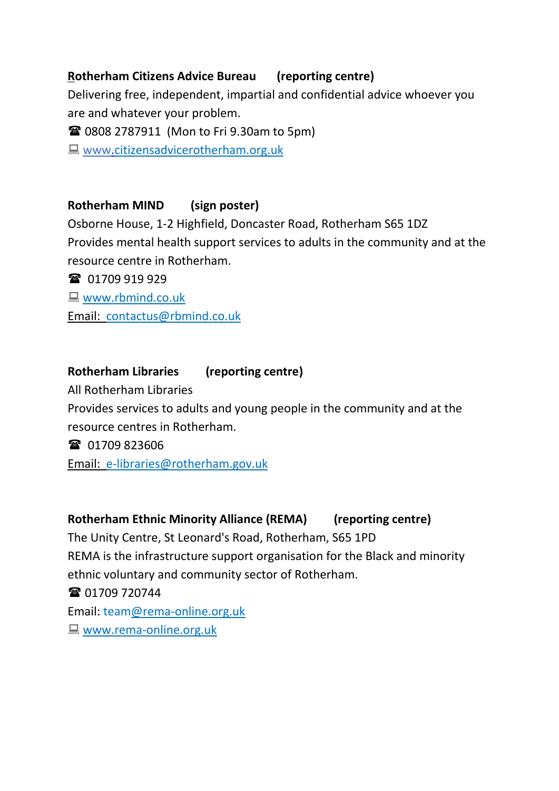## **Rotherham Citizens Advice Bureau (reporting centre)**

Delivering free, independent, impartial and confidential advice whoever you are and whatever your problem.

**■ 0808 2787911 (Mon to Fri 9.30am to 5pm)** 

■ [www.c](http://www./)itizensadvicerotherham.org.uk

#### **Rotherham MIND (sign poster)**

Osborne House, 1-2 Highfield, Doncaster Road, Rotherham S65 1DZ Provides mental health support services to adults in the community and at the resource centre in Rotherham.

**雷** 01709 919 929

**Www.rbmind.co.uk** 

Email: [contactus@rbmind.co.uk](mailto:contactus@rbmind.co.uk)

## **Rotherham Libraries (reporting centre)**

All Rotherham Libraries

Provides services to adults and young people in the community and at the resource centres in Rotherham.

**雷** 01709 823606

Email: [e-libraries@rotherham.gov.uk](mailto:e-libraries@rotherham.gov.uk)

## **Rotherham Ethnic Minority Alliance (REMA) (reporting centre)**

The Unity Centre, St Leonard's Road, Rotherham, S65 1PD REMA is the infrastructure support organisation for the Black and minority ethnic voluntary and community sector of Rotherham. **雷 01709 720744** Email: team@rema-online.org.uk **Www.rema-online.org.uk**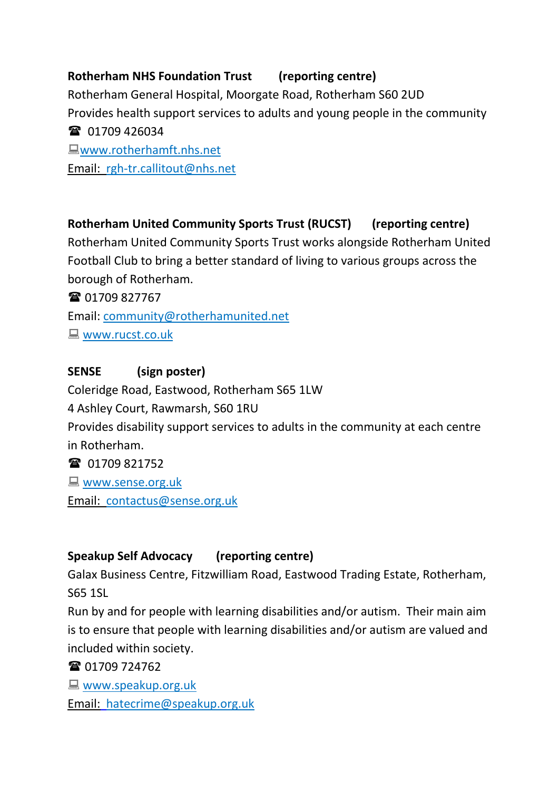## **Rotherham NHS Foundation Trust (reporting centre)**

Rotherham General Hospital, Moorgate Road, Rotherham S60 2UD Provides health support services to adults and young people in the community **雷** 01709 426034 www.rotherhamft.nhs.net

Email: [rgh-tr.callitout@nhs.net](mailto:rgh-tr.callitout@nhs.net)

## **Rotherham United Community Sports Trust (RUCST) (reporting centre)**

Rotherham United Community Sports Trust works alongside Rotherham United Football Club to bring a better standard of living to various groups across the borough of Rotherham.

**雷 01709 827767** 

Email: [community@rotherhamunited.net](mailto:community@rotherhamunited.net)

**WWW.rucst.co.uk** 

## **SENSE (sign poster)**

Coleridge Road, Eastwood, Rotherham S65 1LW

4 Ashley Court, Rawmarsh, S60 1RU

Provides disability support services to adults in the community at each centre in Rotherham.

**雷** 01709 821752

**WWW.sense.org.uk** 

Email: [contactus@sense.org.uk](mailto:contactus@sense.org.uk)

## **Speakup Self Advocacy (reporting centre)**

Galax Business Centre, Fitzwilliam Road, Eastwood Trading Estate, Rotherham, S65 1SL

Run by and for people with learning disabilities and/or autism. Their main aim is to ensure that people with learning disabilities and/or autism are valued and included within society.

**雷 01709 724762** 

**Www.speakup.org.uk** 

Email: [hatecrime@speakup.org.uk](mailto:hatecrime@speakup.org.uk)